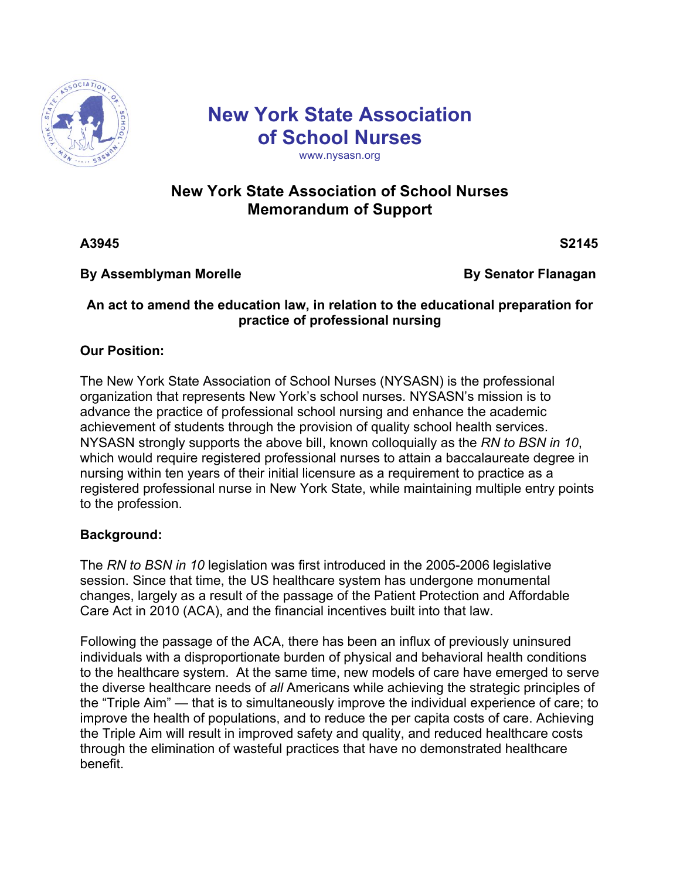

# **New York State Association of School Nurses**

#### www.nysasn.org

## **New York State Association of School Nurses Memorandum of Support**

**A3945** S2145

#### **By Assemblyman Morelle Constrained By Senator Flanagan**

#### **An act to amend the education law, in relation to the educational preparation for practice of professional nursing**

### **Our Position:**

The New York State Association of School Nurses (NYSASN) is the professional organization that represents New York's school nurses. NYSASN's mission is to advance the practice of professional school nursing and enhance the academic achievement of students through the provision of quality school health services. NYSASN strongly supports the above bill, known colloquially as the *RN to BSN in 10*, which would require registered professional nurses to attain a baccalaureate degree in nursing within ten years of their initial licensure as a requirement to practice as a registered professional nurse in New York State, while maintaining multiple entry points to the profession.

#### **Background:**

The *RN to BSN in 10* legislation was first introduced in the 2005-2006 legislative session. Since that time, the US healthcare system has undergone monumental changes, largely as a result of the passage of the Patient Protection and Affordable Care Act in 2010 (ACA), and the financial incentives built into that law.

Following the passage of the ACA, there has been an influx of previously uninsured individuals with a disproportionate burden of physical and behavioral health conditions to the healthcare system. At the same time, new models of care have emerged to serve the diverse healthcare needs of *all* Americans while achieving the strategic principles of the "Triple Aim" — that is to simultaneously improve the individual experience of care; to improve the health of populations, and to reduce the per capita costs of care. Achieving the Triple Aim will result in improved safety and quality, and reduced healthcare costs through the elimination of wasteful practices that have no demonstrated healthcare benefit.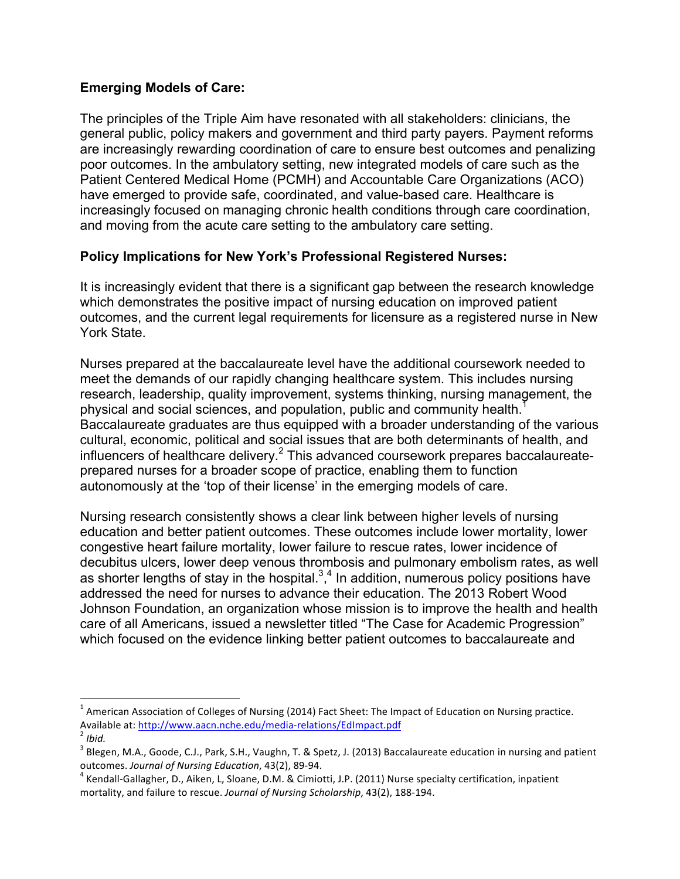#### **Emerging Models of Care:**

The principles of the Triple Aim have resonated with all stakeholders: clinicians, the general public, policy makers and government and third party payers. Payment reforms are increasingly rewarding coordination of care to ensure best outcomes and penalizing poor outcomes. In the ambulatory setting, new integrated models of care such as the Patient Centered Medical Home (PCMH) and Accountable Care Organizations (ACO) have emerged to provide safe, coordinated, and value-based care. Healthcare is increasingly focused on managing chronic health conditions through care coordination, and moving from the acute care setting to the ambulatory care setting.

#### **Policy Implications for New York's Professional Registered Nurses:**

It is increasingly evident that there is a significant gap between the research knowledge which demonstrates the positive impact of nursing education on improved patient outcomes, and the current legal requirements for licensure as a registered nurse in New York State.

Nurses prepared at the baccalaureate level have the additional coursework needed to meet the demands of our rapidly changing healthcare system. This includes nursing research, leadership, quality improvement, systems thinking, nursing management, the physical and social sciences, and population, public and community health.<sup>1</sup> Baccalaureate graduates are thus equipped with a broader understanding of the various cultural, economic, political and social issues that are both determinants of health, and influencers of healthcare delivery.<sup>2</sup> This advanced coursework prepares baccalaureateprepared nurses for a broader scope of practice, enabling them to function autonomously at the 'top of their license' in the emerging models of care.

Nursing research consistently shows a clear link between higher levels of nursing education and better patient outcomes. These outcomes include lower mortality, lower congestive heart failure mortality, lower failure to rescue rates, lower incidence of decubitus ulcers, lower deep venous thrombosis and pulmonary embolism rates, as well as shorter lengths of stay in the hospital. $3,4$  In addition, numerous policy positions have addressed the need for nurses to advance their education. The 2013 Robert Wood Johnson Foundation, an organization whose mission is to improve the health and health care of all Americans, issued a newsletter titled "The Case for Academic Progression" which focused on the evidence linking better patient outcomes to baccalaureate and

 $1$  American Association of Colleges of Nursing (2014) Fact Sheet: The Impact of Education on Nursing practice. Available at: http://www.aacn.nche.edu/media-relations/EdImpact.pdf<sup>2</sup> *Ihid.* 

 $3$  Blegen, M.A., Goode, C.J., Park, S.H., Vaughn, T. & Spetz, J. (2013) Baccalaureate education in nursing and patient outcomes. *Journal of Nursing Education*, 43(2), 89-94.<br><sup>4</sup> Kendall-Gallagher, D., Aiken, L, Sloane, D.M. & Cimiotti, J.P. (2011) Nurse specialty certification, inpatient

mortality, and failure to rescue. *Journal of Nursing Scholarship*, 43(2), 188-194.